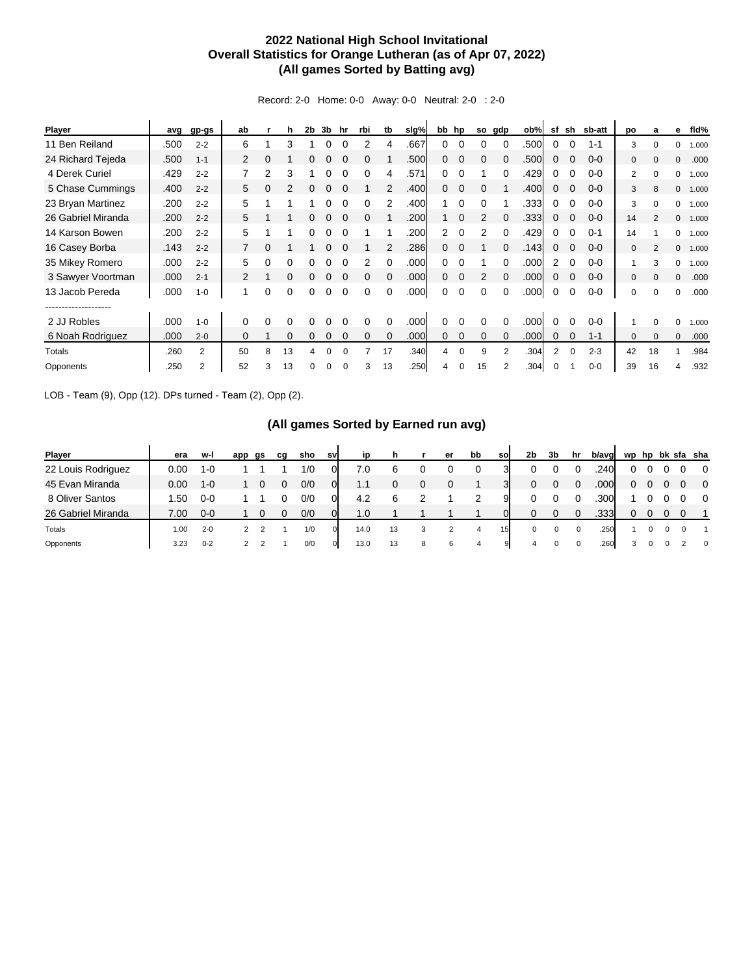## **2022 National High School Invitational Overall Statistics for Orange Lutheran (as of Apr 07, 2022) (All games Sorted by Batting avg)**

Record: 2-0 Home: 0-0 Away: 0-0 Neutral: 2-0 : 2-0

| <b>Player</b>      | avg  | gp-gs   | ab       |          | h  | 2b | 3b | hr       | rbi      | tb       | slg% |    | bb hp       | so | gdp      | ob%  | sf | sh       | sb-att  | po           | a             | е            | fld%  |
|--------------------|------|---------|----------|----------|----|----|----|----------|----------|----------|------|----|-------------|----|----------|------|----|----------|---------|--------------|---------------|--------------|-------|
| 11 Ben Reiland     | .500 | $2 - 2$ | 6        |          | 3  |    |    |          | 2        | 4        | .667 | 0  | $\Omega$    |    |          | .500 | 0  |          | $1 - 1$ | 3            |               | $\Omega$     | 1.000 |
| 24 Richard Tejeda  | .500 | $1 - 1$ | 2        | 0        |    |    |    |          |          |          | .500 | 0  | $\Omega$    | 0  |          | .500 | 0  |          | $0 - 0$ | $\mathbf 0$  |               | $\mathbf{0}$ | .000  |
| 4 Derek Curiel     | .429 | $2 - 2$ |          | 2        | 3  |    | 0  |          | 0        | 4        | .571 | 0  | $\Omega$    |    | 0        | .429 | 0  | $\Omega$ | $0 - 0$ | 2            | $\Omega$      | 0            | 1.000 |
| 5 Chase Cummings   | .400 | $2 - 2$ | 5        | 0        | 2  | 0  | 0  |          |          | 2        | .400 | 0  | $\mathbf 0$ | 0  |          | .400 | 0  | $\Omega$ | $0 - 0$ | 3            | 8             | $\mathbf{0}$ | 1.000 |
| 23 Bryan Martinez  | .200 | $2 - 2$ | 5        |          |    |    |    |          |          | 2        | .400 | 1. | $\Omega$    |    |          | .333 | 0  |          | $0 - 0$ | 3            |               | 0            | 1.000 |
| 26 Gabriel Miranda | .200 | $2 - 2$ | 5        |          |    | 0  | 0  |          | 0        |          | .200 | 1  | $\Omega$    | 2  |          | .333 | 0  | $\Omega$ | $0 - 0$ | 14           | 2             | $\mathbf{0}$ | 1.000 |
| 14 Karson Bowen    | .200 | $2 - 2$ | 5        |          |    |    |    |          |          |          | .200 | 2  | $\Omega$    | 2  |          | .429 | 0  |          | $0 - 1$ | 14           |               | $\Omega$     | 1.000 |
| 16 Casey Borba     | .143 | $2 - 2$ |          | 0        |    |    | 0  |          |          |          | .286 | 0  | $\Omega$    |    | 0        | .143 | 0  | $\Omega$ | $0 - 0$ | $\mathbf 0$  | $\mathcal{P}$ | $\mathbf{0}$ | 1.000 |
| 35 Mikey Romero    | .000 | $2 - 2$ | 5        | 0        | 0  | 0  | 0  |          | 2        | $\Omega$ | .000 | 0  | $\Omega$    |    | 0        | .000 | 2  | $\Omega$ | $0 - 0$ | 1            | 3             | 0            | 1.000 |
| 3 Sawyer Voortman  | .000 | $2 - 1$ | 2        | 1        | 0  | 0  | 0  | $\Omega$ | $\Omega$ | $\Omega$ | .000 | 0  | $\mathbf 0$ | 2  | $\Omega$ | .000 | 0  | $\Omega$ | $0 - 0$ | $\mathbf{0}$ | $\Omega$      | $\mathbf{0}$ | .000  |
| 13 Jacob Pereda    | .000 | $1 - 0$ |          | 0        | 0  | 0  | 0  | $\Omega$ | 0        | $\Omega$ | .000 | 0  | $\Omega$    | 0  |          | .000 | 0  |          | $0 - 0$ | 0            | $\Omega$      | $\Omega$     | .000  |
|                    |      |         |          |          |    |    |    |          |          |          |      |    |             |    |          |      |    |          |         |              |               |              |       |
| 2 JJ Robles        | .000 | $1 - 0$ | $\Omega$ | $\Omega$ | 0  |    |    |          | 0        | $\Omega$ | .000 | 0  |             |    |          | .000 | 0  |          | $0 - 0$ |              | $\Omega$      | $\Omega$     | 1.000 |
| 6 Noah Rodriguez   | .000 | $2 - 0$ | 0        |          | 0  | 0  | 0  | $\Omega$ | $\Omega$ | $\Omega$ | .000 | 0  | $\mathbf 0$ | 0  | $\Omega$ | .000 | 0  | $\Omega$ | $1 - 1$ | $\mathbf 0$  | $\Omega$      | $\mathbf{0}$ | .000  |
| Totals             | .260 | 2       | 50       | 8        | 13 | 4  | 0  | 0        |          | 17       | .340 | 4  | 0           | 9  | 2        | .304 | 2  | $\Omega$ | $2 - 3$ | 42           | 18            |              | .984  |
| Opponents          | .250 | 2       | 52       | 3        | 13 | 0  | 0  | 0        | 3        | 13       | .250 | 4  | 0           | 15 | 2        | .304 | 0  |          | $0 - 0$ | 39           | 16            | 4            | .932  |

LOB - Team (9), Opp (12). DPs turned - Team (2), Opp (2).

## **(All games Sorted by Earned run avg)**

| <b>Player</b>      | era  | w-l     | app | gs | cq | sho | sv             | ip   | h  |   | er | bb | <b>SO</b> | 2b | 3b | hr       | b/avg | wp | hp | bk | sfa sha  |
|--------------------|------|---------|-----|----|----|-----|----------------|------|----|---|----|----|-----------|----|----|----------|-------|----|----|----|----------|
| 22 Louis Rodriguez | 0.00 | $1 - C$ |     |    |    | 1/0 | 01             | 7.0  | 6  |   |    |    |           |    |    |          | .240  | 0  |    |    | $\Omega$ |
| 45 Evan Miranda    | 0.00 | $1 - 0$ |     |    |    | 0/0 | 01             | 1.1  | 0  | 0 | 0  |    | 3         | 0  | 0  | 0        | 000.  | 0  |    |    | $\Omega$ |
| 8 Oliver Santos    | .50  | $0 - 0$ |     |    |    | 0/0 | 01             | 4.2  | 6  |   |    |    |           |    |    |          | .300  |    |    |    | $\Omega$ |
| 26 Gabriel Miranda | 7.00 | $0 - 0$ |     |    |    | 0/0 | 01             | 1.0  |    |   |    |    |           | 0  | 0  |          | .333  | 0  |    |    |          |
| Totals             | 1.00 | $2 - 0$ |     |    |    | 1/0 |                | 14.0 | 13 | 3 |    |    | 15        |    |    | $\Omega$ | .250  |    |    |    |          |
| Opponents          | 3.23 | $0 - 2$ |     |    |    | 0/0 | $\overline{0}$ | 13.0 | 13 | 8 | 6  | 4  | 9         | 4  |    | 0        | .260  | 3  |    |    | $\Omega$ |